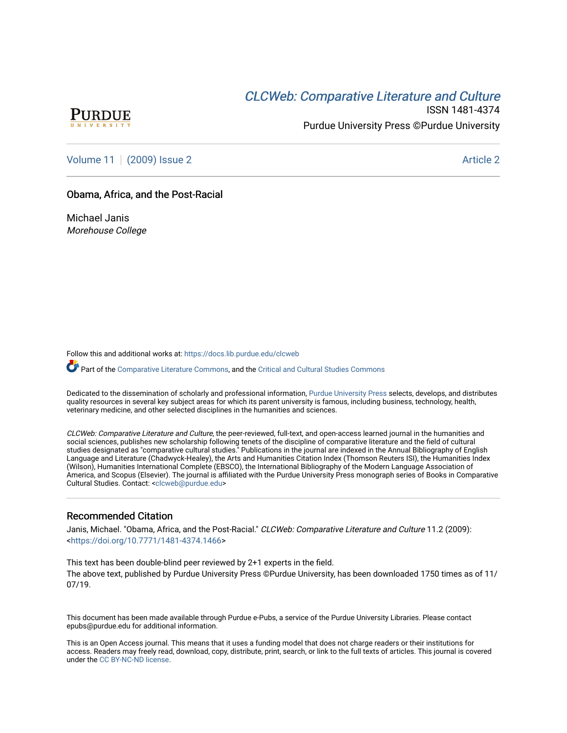# **CLCW[eb: Comparative Liter](https://docs.lib.purdue.edu/clcweb)ature and Culture**



ISSN 1481-4374 Purdue University Press ©Purdue University

[Volume 11](https://docs.lib.purdue.edu/clcweb/vol11) | [\(2009\) Issue 2](https://docs.lib.purdue.edu/clcweb/vol11/iss2) Article 2

### Obama, Africa, and the Post-Racial

Michael Janis Morehouse College

Follow this and additional works at: [https://docs.lib.purdue.edu/clcweb](https://docs.lib.purdue.edu/clcweb?utm_source=docs.lib.purdue.edu%2Fclcweb%2Fvol11%2Fiss2%2F2&utm_medium=PDF&utm_campaign=PDFCoverPages)

Part of the [Comparative Literature Commons,](http://network.bepress.com/hgg/discipline/454?utm_source=docs.lib.purdue.edu%2Fclcweb%2Fvol11%2Fiss2%2F2&utm_medium=PDF&utm_campaign=PDFCoverPages) and the Critical and Cultural Studies Commons

Dedicated to the dissemination of scholarly and professional information, [Purdue University Press](http://www.thepress.purdue.edu/) selects, develops, and distributes quality resources in several key subject areas for which its parent university is famous, including business, technology, health, veterinary medicine, and other selected disciplines in the humanities and sciences.

CLCWeb: Comparative Literature and Culture, the peer-reviewed, full-text, and open-access learned journal in the humanities and social sciences, publishes new scholarship following tenets of the discipline of comparative literature and the field of cultural studies designated as "comparative cultural studies." Publications in the journal are indexed in the Annual Bibliography of English Language and Literature (Chadwyck-Healey), the Arts and Humanities Citation Index (Thomson Reuters ISI), the Humanities Index (Wilson), Humanities International Complete (EBSCO), the International Bibliography of the Modern Language Association of America, and Scopus (Elsevier). The journal is affiliated with the Purdue University Press monograph series of Books in Comparative Cultural Studies. Contact: [<clcweb@purdue.edu](mailto:clcweb@purdue.edu)>

## Recommended Citation

Janis, Michael. "Obama, Africa, and the Post-Racial." CLCWeb: Comparative Literature and Culture 11.2 (2009): <<https://doi.org/10.7771/1481-4374.1466>>

This text has been double-blind peer reviewed by 2+1 experts in the field. The above text, published by Purdue University Press ©Purdue University, has been downloaded 1750 times as of 11/ 07/19.

This document has been made available through Purdue e-Pubs, a service of the Purdue University Libraries. Please contact epubs@purdue.edu for additional information.

This is an Open Access journal. This means that it uses a funding model that does not charge readers or their institutions for access. Readers may freely read, download, copy, distribute, print, search, or link to the full texts of articles. This journal is covered under the [CC BY-NC-ND license.](https://creativecommons.org/licenses/by-nc-nd/4.0/)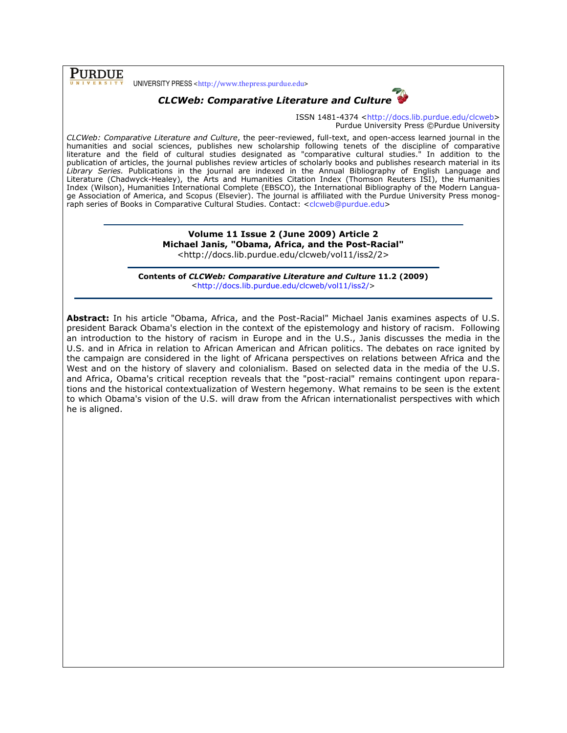**PURDUE** 

UNIVERSITY PRESS <http://www.thepress.purdue.edu>



ISSN 1481-4374 <http://docs.lib.purdue.edu/clcweb> Purdue University Press ©Purdue University

CLCWeb: Comparative Literature and Culture, the peer-reviewed, full-text, and open-access learned journal in the humanities and social sciences, publishes new scholarship following tenets of the discipline of comparative literature and the field of cultural studies designated as "comparative cultural studies." In addition to the publication of articles, the journal publishes review articles of scholarly books and publishes research material in its Library Series. Publications in the journal are indexed in the Annual Bibliography of English Language and Literature (Chadwyck-Healey), the Arts and Humanities Citation Index (Thomson Reuters ISI), the Humanities Index (Wilson), Humanities International Complete (EBSCO), the International Bibliography of the Modern Language Association of America, and Scopus (Elsevier). The journal is affiliated with the Purdue University Press monograph series of Books in Comparative Cultural Studies. Contact: <clcweb@purdue.edu>

> Volume 11 Issue 2 (June 2009) Article 2 Michael Janis, "Obama, Africa, and the Post-Racial" <http://docs.lib.purdue.edu/clcweb/vol11/iss2/2>

Contents of CLCWeb: Comparative Literature and Culture 11.2 (2009) <http://docs.lib.purdue.edu/clcweb/vol11/iss2/>

Abstract: In his article "Obama, Africa, and the Post-Racial" Michael Janis examines aspects of U.S. president Barack Obama's election in the context of the epistemology and history of racism. Following an introduction to the history of racism in Europe and in the U.S., Janis discusses the media in the U.S. and in Africa in relation to African American and African politics. The debates on race ignited by the campaign are considered in the light of Africana perspectives on relations between Africa and the West and on the history of slavery and colonialism. Based on selected data in the media of the U.S. and Africa, Obama's critical reception reveals that the "post-racial" remains contingent upon reparations and the historical contextualization of Western hegemony. What remains to be seen is the extent to which Obama's vision of the U.S. will draw from the African internationalist perspectives with which he is aligned.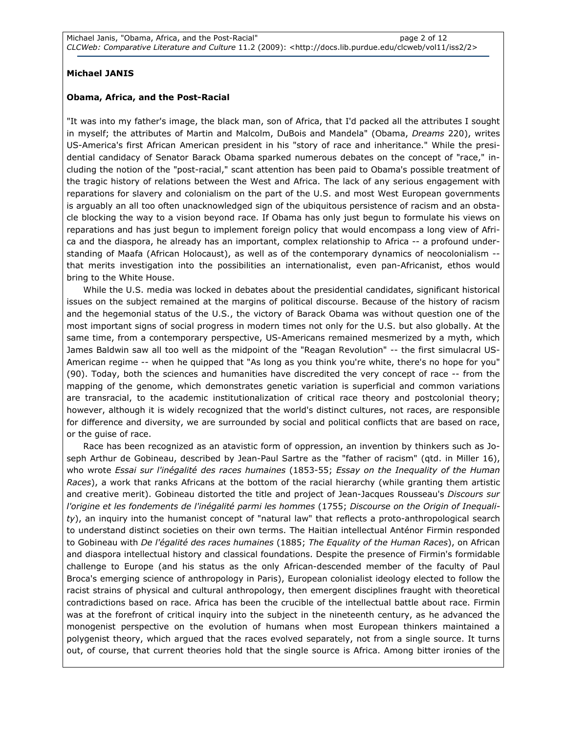### Michael JANIS

#### Obama, Africa, and the Post-Racial

"It was into my father's image, the black man, son of Africa, that I'd packed all the attributes I sought in myself; the attributes of Martin and Malcolm, DuBois and Mandela" (Obama, Dreams 220), writes US-America's first African American president in his "story of race and inheritance." While the presidential candidacy of Senator Barack Obama sparked numerous debates on the concept of "race," including the notion of the "post-racial," scant attention has been paid to Obama's possible treatment of the tragic history of relations between the West and Africa. The lack of any serious engagement with reparations for slavery and colonialism on the part of the U.S. and most West European governments is arguably an all too often unacknowledged sign of the ubiquitous persistence of racism and an obstacle blocking the way to a vision beyond race. If Obama has only just begun to formulate his views on reparations and has just begun to implement foreign policy that would encompass a long view of Africa and the diaspora, he already has an important, complex relationship to Africa -- a profound understanding of Maafa (African Holocaust), as well as of the contemporary dynamics of neocolonialism - that merits investigation into the possibilities an internationalist, even pan-Africanist, ethos would bring to the White House.

While the U.S. media was locked in debates about the presidential candidates, significant historical issues on the subject remained at the margins of political discourse. Because of the history of racism and the hegemonial status of the U.S., the victory of Barack Obama was without question one of the most important signs of social progress in modern times not only for the U.S. but also globally. At the same time, from a contemporary perspective, US-Americans remained mesmerized by a myth, which James Baldwin saw all too well as the midpoint of the "Reagan Revolution" -- the first simulacral US-American regime -- when he quipped that "As long as you think you're white, there's no hope for you" (90). Today, both the sciences and humanities have discredited the very concept of race -- from the mapping of the genome, which demonstrates genetic variation is superficial and common variations are transracial, to the academic institutionalization of critical race theory and postcolonial theory; however, although it is widely recognized that the world's distinct cultures, not races, are responsible for difference and diversity, we are surrounded by social and political conflicts that are based on race, or the guise of race.

Race has been recognized as an atavistic form of oppression, an invention by thinkers such as Joseph Arthur de Gobineau, described by Jean-Paul Sartre as the "father of racism" (qtd. in Miller 16), who wrote Essai sur l'inégalité des races humaines (1853-55; Essay on the Inequality of the Human Races), a work that ranks Africans at the bottom of the racial hierarchy (while granting them artistic and creative merit). Gobineau distorted the title and project of Jean-Jacques Rousseau's Discours sur l'origine et les fondements de l'inégalité parmi les hommes (1755; Discourse on the Origin of Inequality), an inquiry into the humanist concept of "natural law" that reflects a proto-anthropological search to understand distinct societies on their own terms. The Haitian intellectual Anténor Firmin responded to Gobineau with De l'égalité des races humaines (1885; The Equality of the Human Races), on African and diaspora intellectual history and classical foundations. Despite the presence of Firmin's formidable challenge to Europe (and his status as the only African-descended member of the faculty of Paul Broca's emerging science of anthropology in Paris), European colonialist ideology elected to follow the racist strains of physical and cultural anthropology, then emergent disciplines fraught with theoretical contradictions based on race. Africa has been the crucible of the intellectual battle about race. Firmin was at the forefront of critical inquiry into the subject in the nineteenth century, as he advanced the monogenist perspective on the evolution of humans when most European thinkers maintained a polygenist theory, which argued that the races evolved separately, not from a single source. It turns out, of course, that current theories hold that the single source is Africa. Among bitter ironies of the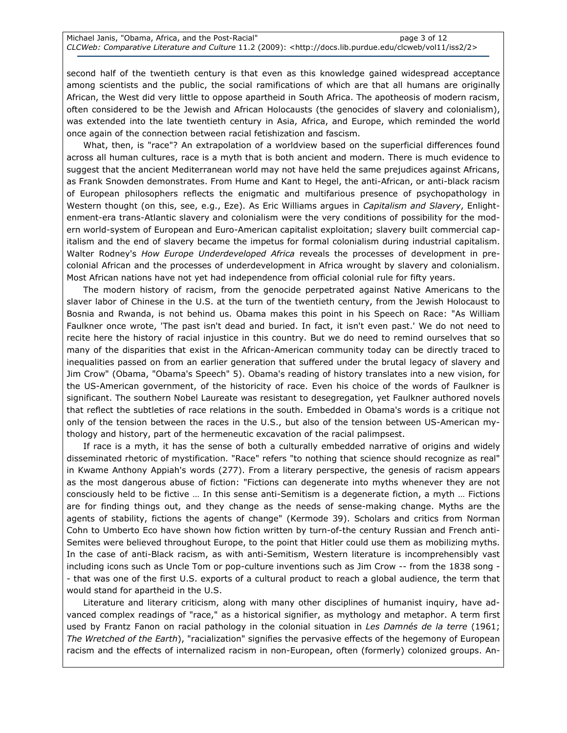second half of the twentieth century is that even as this knowledge gained widespread acceptance among scientists and the public, the social ramifications of which are that all humans are originally African, the West did very little to oppose apartheid in South Africa. The apotheosis of modern racism, often considered to be the Jewish and African Holocausts (the genocides of slavery and colonialism), was extended into the late twentieth century in Asia, Africa, and Europe, which reminded the world once again of the connection between racial fetishization and fascism.

What, then, is "race"? An extrapolation of a worldview based on the superficial differences found across all human cultures, race is a myth that is both ancient and modern. There is much evidence to suggest that the ancient Mediterranean world may not have held the same prejudices against Africans, as Frank Snowden demonstrates. From Hume and Kant to Hegel, the anti-African, or anti-black racism of European philosophers reflects the enigmatic and multifarious presence of psychopathology in Western thought (on this, see, e.g., Eze). As Eric Williams argues in Capitalism and Slavery, Enlightenment-era trans-Atlantic slavery and colonialism were the very conditions of possibility for the modern world-system of European and Euro-American capitalist exploitation; slavery built commercial capitalism and the end of slavery became the impetus for formal colonialism during industrial capitalism. Walter Rodney's How Europe Underdeveloped Africa reveals the processes of development in precolonial African and the processes of underdevelopment in Africa wrought by slavery and colonialism. Most African nations have not yet had independence from official colonial rule for fifty years.

The modern history of racism, from the genocide perpetrated against Native Americans to the slaver labor of Chinese in the U.S. at the turn of the twentieth century, from the Jewish Holocaust to Bosnia and Rwanda, is not behind us. Obama makes this point in his Speech on Race: "As William Faulkner once wrote, 'The past isn't dead and buried. In fact, it isn't even past.' We do not need to recite here the history of racial injustice in this country. But we do need to remind ourselves that so many of the disparities that exist in the African-American community today can be directly traced to inequalities passed on from an earlier generation that suffered under the brutal legacy of slavery and Jim Crow" (Obama, "Obama's Speech" 5). Obama's reading of history translates into a new vision, for the US-American government, of the historicity of race. Even his choice of the words of Faulkner is significant. The southern Nobel Laureate was resistant to desegregation, yet Faulkner authored novels that reflect the subtleties of race relations in the south. Embedded in Obama's words is a critique not only of the tension between the races in the U.S., but also of the tension between US-American mythology and history, part of the hermeneutic excavation of the racial palimpsest.

If race is a myth, it has the sense of both a culturally embedded narrative of origins and widely disseminated rhetoric of mystification. "Race" refers "to nothing that science should recognize as real" in Kwame Anthony Appiah's words (277). From a literary perspective, the genesis of racism appears as the most dangerous abuse of fiction: "Fictions can degenerate into myths whenever they are not consciously held to be fictive … In this sense anti-Semitism is a degenerate fiction, a myth … Fictions are for finding things out, and they change as the needs of sense-making change. Myths are the agents of stability, fictions the agents of change" (Kermode 39). Scholars and critics from Norman Cohn to Umberto Eco have shown how fiction written by turn-of-the century Russian and French anti-Semites were believed throughout Europe, to the point that Hitler could use them as mobilizing myths. In the case of anti-Black racism, as with anti-Semitism, Western literature is incomprehensibly vast including icons such as Uncle Tom or pop-culture inventions such as Jim Crow -- from the 1838 song -- that was one of the first U.S. exports of a cultural product to reach a global audience, the term that would stand for apartheid in the U.S.

Literature and literary criticism, along with many other disciplines of humanist inquiry, have advanced complex readings of "race," as a historical signifier, as mythology and metaphor. A term first used by Frantz Fanon on racial pathology in the colonial situation in Les Damnés de la terre (1961; The Wretched of the Earth), "racialization" signifies the pervasive effects of the hegemony of European racism and the effects of internalized racism in non-European, often (formerly) colonized groups. An-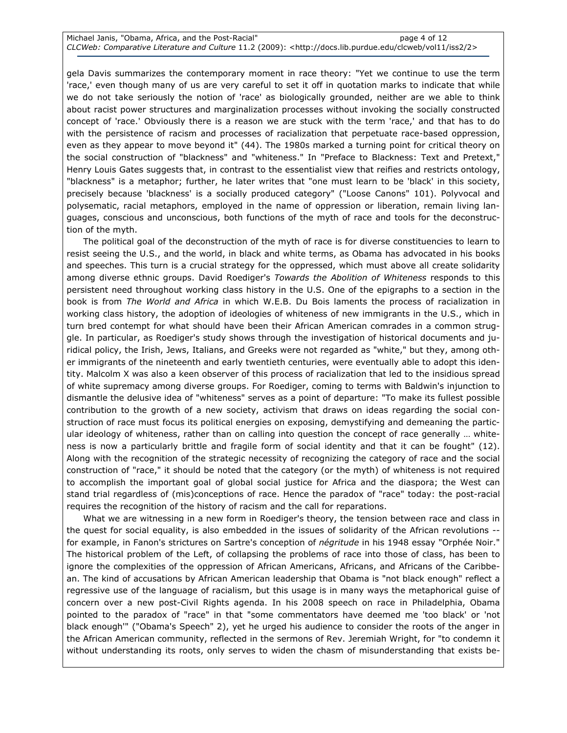| Michael Janis, "Obama, Africa, and the Post-Racial" | page 4 of 12                                                                                                                   |
|-----------------------------------------------------|--------------------------------------------------------------------------------------------------------------------------------|
|                                                     | CLCWeb: Comparative Literature and Culture 11.2 (2009): <http: 2="" clcweb="" docs.lib.purdue.edu="" iss2="" vol11=""></http:> |

gela Davis summarizes the contemporary moment in race theory: "Yet we continue to use the term 'race,' even though many of us are very careful to set it off in quotation marks to indicate that while we do not take seriously the notion of 'race' as biologically grounded, neither are we able to think about racist power structures and marginalization processes without invoking the socially constructed concept of 'race.' Obviously there is a reason we are stuck with the term 'race,' and that has to do with the persistence of racism and processes of racialization that perpetuate race-based oppression, even as they appear to move beyond it" (44). The 1980s marked a turning point for critical theory on the social construction of "blackness" and "whiteness." In "Preface to Blackness: Text and Pretext," Henry Louis Gates suggests that, in contrast to the essentialist view that reifies and restricts ontology, "blackness" is a metaphor; further, he later writes that "one must learn to be 'black' in this society, precisely because 'blackness' is a socially produced category" ("Loose Canons" 101). Polyvocal and polysematic, racial metaphors, employed in the name of oppression or liberation, remain living languages, conscious and unconscious, both functions of the myth of race and tools for the deconstruction of the myth.

The political goal of the deconstruction of the myth of race is for diverse constituencies to learn to resist seeing the U.S., and the world, in black and white terms, as Obama has advocated in his books and speeches. This turn is a crucial strategy for the oppressed, which must above all create solidarity among diverse ethnic groups. David Roediger's Towards the Abolition of Whiteness responds to this persistent need throughout working class history in the U.S. One of the epigraphs to a section in the book is from The World and Africa in which W.E.B. Du Bois laments the process of racialization in working class history, the adoption of ideologies of whiteness of new immigrants in the U.S., which in turn bred contempt for what should have been their African American comrades in a common struggle. In particular, as Roediger's study shows through the investigation of historical documents and juridical policy, the Irish, Jews, Italians, and Greeks were not regarded as "white," but they, among other immigrants of the nineteenth and early twentieth centuries, were eventually able to adopt this identity. Malcolm X was also a keen observer of this process of racialization that led to the insidious spread of white supremacy among diverse groups. For Roediger, coming to terms with Baldwin's injunction to dismantle the delusive idea of "whiteness" serves as a point of departure: "To make its fullest possible contribution to the growth of a new society, activism that draws on ideas regarding the social construction of race must focus its political energies on exposing, demystifying and demeaning the particular ideology of whiteness, rather than on calling into question the concept of race generally … whiteness is now a particularly brittle and fragile form of social identity and that it can be fought" (12). Along with the recognition of the strategic necessity of recognizing the category of race and the social construction of "race," it should be noted that the category (or the myth) of whiteness is not required to accomplish the important goal of global social justice for Africa and the diaspora; the West can stand trial regardless of (mis)conceptions of race. Hence the paradox of "race" today: the post-racial requires the recognition of the history of racism and the call for reparations.

What we are witnessing in a new form in Roediger's theory, the tension between race and class in the quest for social equality, is also embedded in the issues of solidarity of the African revolutions - for example, in Fanon's strictures on Sartre's conception of *négritude* in his 1948 essay "Orphée Noir." The historical problem of the Left, of collapsing the problems of race into those of class, has been to ignore the complexities of the oppression of African Americans, Africans, and Africans of the Caribbean. The kind of accusations by African American leadership that Obama is "not black enough" reflect a regressive use of the language of racialism, but this usage is in many ways the metaphorical guise of concern over a new post-Civil Rights agenda. In his 2008 speech on race in Philadelphia, Obama pointed to the paradox of "race" in that "some commentators have deemed me 'too black' or 'not black enough'" ("Obama's Speech" 2), yet he urged his audience to consider the roots of the anger in the African American community, reflected in the sermons of Rev. Jeremiah Wright, for "to condemn it without understanding its roots, only serves to widen the chasm of misunderstanding that exists be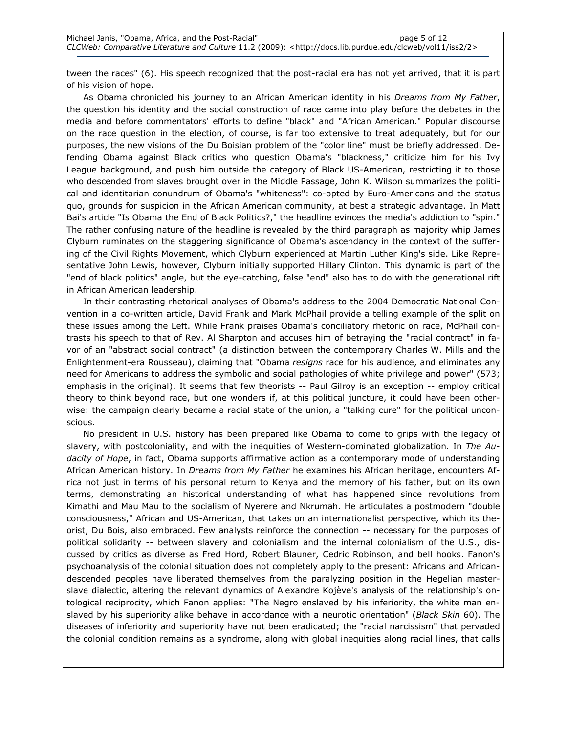tween the races" (6). His speech recognized that the post-racial era has not yet arrived, that it is part of his vision of hope.

As Obama chronicled his journey to an African American identity in his Dreams from My Father, the question his identity and the social construction of race came into play before the debates in the media and before commentators' efforts to define "black" and "African American." Popular discourse on the race question in the election, of course, is far too extensive to treat adequately, but for our purposes, the new visions of the Du Boisian problem of the "color line" must be briefly addressed. Defending Obama against Black critics who question Obama's "blackness," criticize him for his Ivy League background, and push him outside the category of Black US-American, restricting it to those who descended from slaves brought over in the Middle Passage, John K. Wilson summarizes the political and identitarian conundrum of Obama's "whiteness": co-opted by Euro-Americans and the status quo, grounds for suspicion in the African American community, at best a strategic advantage. In Matt Bai's article "Is Obama the End of Black Politics?," the headline evinces the media's addiction to "spin." The rather confusing nature of the headline is revealed by the third paragraph as majority whip James Clyburn ruminates on the staggering significance of Obama's ascendancy in the context of the suffering of the Civil Rights Movement, which Clyburn experienced at Martin Luther King's side. Like Representative John Lewis, however, Clyburn initially supported Hillary Clinton. This dynamic is part of the "end of black politics" angle, but the eye-catching, false "end" also has to do with the generational rift in African American leadership.

In their contrasting rhetorical analyses of Obama's address to the 2004 Democratic National Convention in a co-written article, David Frank and Mark McPhail provide a telling example of the split on these issues among the Left. While Frank praises Obama's conciliatory rhetoric on race, McPhail contrasts his speech to that of Rev. Al Sharpton and accuses him of betraying the "racial contract" in favor of an "abstract social contract" (a distinction between the contemporary Charles W. Mills and the Enlightenment-era Rousseau), claiming that "Obama resigns race for his audience, and eliminates any need for Americans to address the symbolic and social pathologies of white privilege and power" (573; emphasis in the original). It seems that few theorists -- Paul Gilroy is an exception -- employ critical theory to think beyond race, but one wonders if, at this political juncture, it could have been otherwise: the campaign clearly became a racial state of the union, a "talking cure" for the political unconscious.

No president in U.S. history has been prepared like Obama to come to grips with the legacy of slavery, with postcoloniality, and with the inequities of Western-dominated globalization. In The Audacity of Hope, in fact, Obama supports affirmative action as a contemporary mode of understanding African American history. In Dreams from My Father he examines his African heritage, encounters Africa not just in terms of his personal return to Kenya and the memory of his father, but on its own terms, demonstrating an historical understanding of what has happened since revolutions from Kimathi and Mau Mau to the socialism of Nyerere and Nkrumah. He articulates a postmodern "double consciousness," African and US-American, that takes on an internationalist perspective, which its theorist, Du Bois, also embraced. Few analysts reinforce the connection -- necessary for the purposes of political solidarity -- between slavery and colonialism and the internal colonialism of the U.S., discussed by critics as diverse as Fred Hord, Robert Blauner, Cedric Robinson, and bell hooks. Fanon's psychoanalysis of the colonial situation does not completely apply to the present: Africans and Africandescended peoples have liberated themselves from the paralyzing position in the Hegelian masterslave dialectic, altering the relevant dynamics of Alexandre Kojève's analysis of the relationship's ontological reciprocity, which Fanon applies: "The Negro enslaved by his inferiority, the white man enslaved by his superiority alike behave in accordance with a neurotic orientation" (Black Skin 60). The diseases of inferiority and superiority have not been eradicated; the "racial narcissism" that pervaded the colonial condition remains as a syndrome, along with global inequities along racial lines, that calls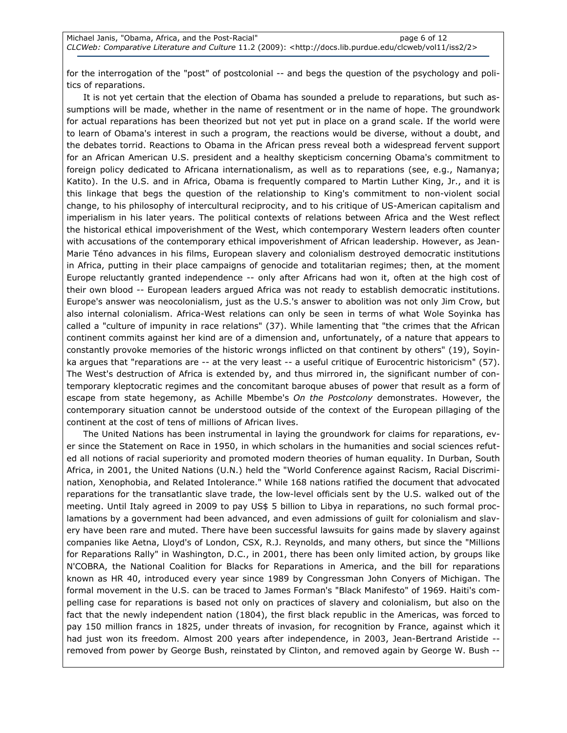for the interrogation of the "post" of postcolonial -- and begs the question of the psychology and politics of reparations.

It is not yet certain that the election of Obama has sounded a prelude to reparations, but such assumptions will be made, whether in the name of resentment or in the name of hope. The groundwork for actual reparations has been theorized but not yet put in place on a grand scale. If the world were to learn of Obama's interest in such a program, the reactions would be diverse, without a doubt, and the debates torrid. Reactions to Obama in the African press reveal both a widespread fervent support for an African American U.S. president and a healthy skepticism concerning Obama's commitment to foreign policy dedicated to Africana internationalism, as well as to reparations (see, e.g., Namanya; Katito). In the U.S. and in Africa, Obama is frequently compared to Martin Luther King, Jr., and it is this linkage that begs the question of the relationship to King's commitment to non-violent social change, to his philosophy of intercultural reciprocity, and to his critique of US-American capitalism and imperialism in his later years. The political contexts of relations between Africa and the West reflect the historical ethical impoverishment of the West, which contemporary Western leaders often counter with accusations of the contemporary ethical impoverishment of African leadership. However, as Jean-Marie Téno advances in his films, European slavery and colonialism destroyed democratic institutions in Africa, putting in their place campaigns of genocide and totalitarian regimes; then, at the moment Europe reluctantly granted independence -- only after Africans had won it, often at the high cost of their own blood -- European leaders argued Africa was not ready to establish democratic institutions. Europe's answer was neocolonialism, just as the U.S.'s answer to abolition was not only Jim Crow, but also internal colonialism. Africa-West relations can only be seen in terms of what Wole Soyinka has called a "culture of impunity in race relations" (37). While lamenting that "the crimes that the African continent commits against her kind are of a dimension and, unfortunately, of a nature that appears to constantly provoke memories of the historic wrongs inflicted on that continent by others" (19), Soyinka argues that "reparations are -- at the very least -- a useful critique of Eurocentric historicism" (57). The West's destruction of Africa is extended by, and thus mirrored in, the significant number of contemporary kleptocratic regimes and the concomitant baroque abuses of power that result as a form of escape from state hegemony, as Achille Mbembe's On the Postcolony demonstrates. However, the contemporary situation cannot be understood outside of the context of the European pillaging of the continent at the cost of tens of millions of African lives.

The United Nations has been instrumental in laying the groundwork for claims for reparations, ever since the Statement on Race in 1950, in which scholars in the humanities and social sciences refuted all notions of racial superiority and promoted modern theories of human equality. In Durban, South Africa, in 2001, the United Nations (U.N.) held the "World Conference against Racism, Racial Discrimination, Xenophobia, and Related Intolerance." While 168 nations ratified the document that advocated reparations for the transatlantic slave trade, the low-level officials sent by the U.S. walked out of the meeting. Until Italy agreed in 2009 to pay US\$ 5 billion to Libya in reparations, no such formal proclamations by a government had been advanced, and even admissions of guilt for colonialism and slavery have been rare and muted. There have been successful lawsuits for gains made by slavery against companies like Aetna, Lloyd's of London, CSX, R.J. Reynolds, and many others, but since the "Millions for Reparations Rally" in Washington, D.C., in 2001, there has been only limited action, by groups like N'COBRA, the National Coalition for Blacks for Reparations in America, and the bill for reparations known as HR 40, introduced every year since 1989 by Congressman John Conyers of Michigan. The formal movement in the U.S. can be traced to James Forman's "Black Manifesto" of 1969. Haiti's compelling case for reparations is based not only on practices of slavery and colonialism, but also on the fact that the newly independent nation (1804), the first black republic in the Americas, was forced to pay 150 million francs in 1825, under threats of invasion, for recognition by France, against which it had just won its freedom. Almost 200 years after independence, in 2003, Jean-Bertrand Aristide - removed from power by George Bush, reinstated by Clinton, and removed again by George W. Bush --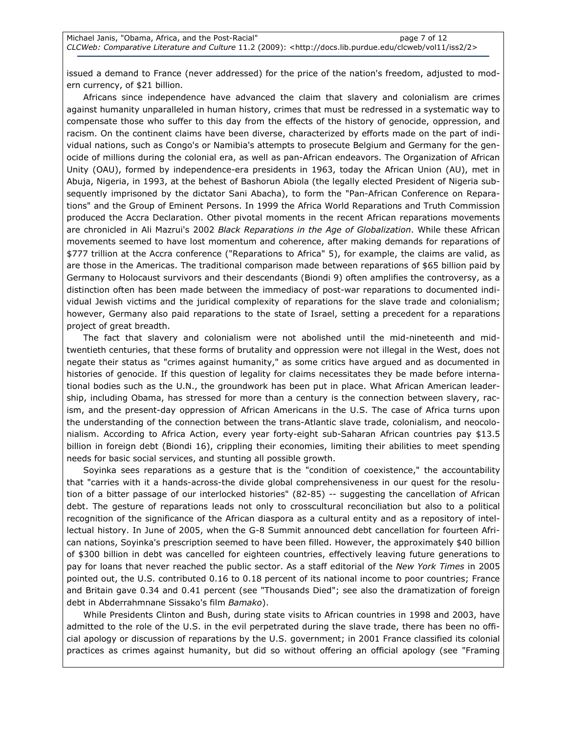issued a demand to France (never addressed) for the price of the nation's freedom, adjusted to modern currency, of \$21 billion.

Africans since independence have advanced the claim that slavery and colonialism are crimes against humanity unparalleled in human history, crimes that must be redressed in a systematic way to compensate those who suffer to this day from the effects of the history of genocide, oppression, and racism. On the continent claims have been diverse, characterized by efforts made on the part of individual nations, such as Congo's or Namibia's attempts to prosecute Belgium and Germany for the genocide of millions during the colonial era, as well as pan-African endeavors. The Organization of African Unity (OAU), formed by independence-era presidents in 1963, today the African Union (AU), met in Abuja, Nigeria, in 1993, at the behest of Bashorun Abiola (the legally elected President of Nigeria subsequently imprisoned by the dictator Sani Abacha), to form the "Pan-African Conference on Reparations" and the Group of Eminent Persons. In 1999 the Africa World Reparations and Truth Commission produced the Accra Declaration. Other pivotal moments in the recent African reparations movements are chronicled in Ali Mazrui's 2002 Black Reparations in the Age of Globalization. While these African movements seemed to have lost momentum and coherence, after making demands for reparations of \$777 trillion at the Accra conference ("Reparations to Africa" 5), for example, the claims are valid, as are those in the Americas. The traditional comparison made between reparations of \$65 billion paid by Germany to Holocaust survivors and their descendants (Biondi 9) often amplifies the controversy, as a distinction often has been made between the immediacy of post-war reparations to documented individual Jewish victims and the juridical complexity of reparations for the slave trade and colonialism; however, Germany also paid reparations to the state of Israel, setting a precedent for a reparations project of great breadth.

The fact that slavery and colonialism were not abolished until the mid-nineteenth and midtwentieth centuries, that these forms of brutality and oppression were not illegal in the West, does not negate their status as "crimes against humanity," as some critics have argued and as documented in histories of genocide. If this question of legality for claims necessitates they be made before international bodies such as the U.N., the groundwork has been put in place. What African American leadership, including Obama, has stressed for more than a century is the connection between slavery, racism, and the present-day oppression of African Americans in the U.S. The case of Africa turns upon the understanding of the connection between the trans-Atlantic slave trade, colonialism, and neocolonialism. According to Africa Action, every year forty-eight sub-Saharan African countries pay \$13.5 billion in foreign debt (Biondi 16), crippling their economies, limiting their abilities to meet spending needs for basic social services, and stunting all possible growth.

Soyinka sees reparations as a gesture that is the "condition of coexistence," the accountability that "carries with it a hands-across-the divide global comprehensiveness in our quest for the resolution of a bitter passage of our interlocked histories" (82-85) -- suggesting the cancellation of African debt. The gesture of reparations leads not only to crosscultural reconciliation but also to a political recognition of the significance of the African diaspora as a cultural entity and as a repository of intellectual history. In June of 2005, when the G-8 Summit announced debt cancellation for fourteen African nations, Soyinka's prescription seemed to have been filled. However, the approximately \$40 billion of \$300 billion in debt was cancelled for eighteen countries, effectively leaving future generations to pay for loans that never reached the public sector. As a staff editorial of the New York Times in 2005 pointed out, the U.S. contributed 0.16 to 0.18 percent of its national income to poor countries; France and Britain gave 0.34 and 0.41 percent (see "Thousands Died"; see also the dramatization of foreign debt in Abderrahmnane Sissako's film Bamako).

While Presidents Clinton and Bush, during state visits to African countries in 1998 and 2003, have admitted to the role of the U.S. in the evil perpetrated during the slave trade, there has been no official apology or discussion of reparations by the U.S. government; in 2001 France classified its colonial practices as crimes against humanity, but did so without offering an official apology (see "Framing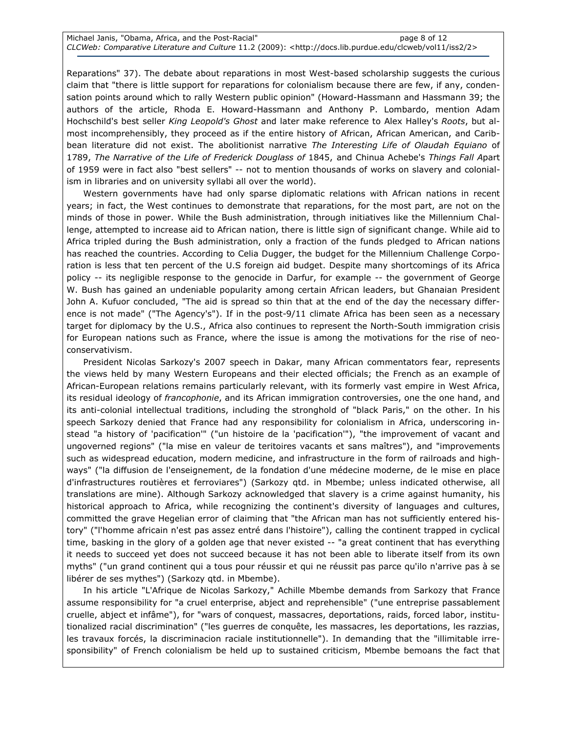| Michael Janis, "Obama, Africa, and the Post-Racial" | page 8 of 12                                                                                                                   |
|-----------------------------------------------------|--------------------------------------------------------------------------------------------------------------------------------|
|                                                     | CLCWeb: Comparative Literature and Culture 11.2 (2009): <http: 2="" clcweb="" docs.lib.purdue.edu="" iss2="" vol11=""></http:> |

Reparations" 37). The debate about reparations in most West-based scholarship suggests the curious claim that "there is little support for reparations for colonialism because there are few, if any, condensation points around which to rally Western public opinion" (Howard-Hassmann and Hassmann 39; the authors of the article, Rhoda E. Howard-Hassmann and Anthony P. Lombardo, mention Adam Hochschild's best seller King Leopold's Ghost and later make reference to Alex Halley's Roots, but almost incomprehensibly, they proceed as if the entire history of African, African American, and Caribbean literature did not exist. The abolitionist narrative The Interesting Life of Olaudah Equiano of 1789, The Narrative of the Life of Frederick Douglass of 1845, and Chinua Achebe's Things Fall Apart of 1959 were in fact also "best sellers" -- not to mention thousands of works on slavery and colonialism in libraries and on university syllabi all over the world).

Western governments have had only sparse diplomatic relations with African nations in recent years; in fact, the West continues to demonstrate that reparations, for the most part, are not on the minds of those in power. While the Bush administration, through initiatives like the Millennium Challenge, attempted to increase aid to African nation, there is little sign of significant change. While aid to Africa tripled during the Bush administration, only a fraction of the funds pledged to African nations has reached the countries. According to Celia Dugger, the budget for the Millennium Challenge Corporation is less that ten percent of the U.S foreign aid budget. Despite many shortcomings of its Africa policy -- its negligible response to the genocide in Darfur, for example -- the government of George W. Bush has gained an undeniable popularity among certain African leaders, but Ghanaian President John A. Kufuor concluded, "The aid is spread so thin that at the end of the day the necessary difference is not made" ("The Agency's"). If in the post-9/11 climate Africa has been seen as a necessary target for diplomacy by the U.S., Africa also continues to represent the North-South immigration crisis for European nations such as France, where the issue is among the motivations for the rise of neoconservativism.

President Nicolas Sarkozy's 2007 speech in Dakar, many African commentators fear, represents the views held by many Western Europeans and their elected officials; the French as an example of African-European relations remains particularly relevant, with its formerly vast empire in West Africa, its residual ideology of francophonie, and its African immigration controversies, one the one hand, and its anti-colonial intellectual traditions, including the stronghold of "black Paris," on the other. In his speech Sarkozy denied that France had any responsibility for colonialism in Africa, underscoring instead "a history of 'pacification'" ("un histoire de la 'pacification'"), "the improvement of vacant and ungoverned regions" ("la mise en valeur de teritoires vacants et sans maîtres"), and "improvements such as widespread education, modern medicine, and infrastructure in the form of railroads and highways" ("la diffusion de l'enseignement, de la fondation d'une médecine moderne, de le mise en place d'infrastructures routières et ferroviares") (Sarkozy qtd. in Mbembe; unless indicated otherwise, all translations are mine). Although Sarkozy acknowledged that slavery is a crime against humanity, his historical approach to Africa, while recognizing the continent's diversity of languages and cultures, committed the grave Hegelian error of claiming that "the African man has not sufficiently entered history" ("l'homme africain n'est pas assez entré dans l'histoire"), calling the continent trapped in cyclical time, basking in the glory of a golden age that never existed -- "a great continent that has everything it needs to succeed yet does not succeed because it has not been able to liberate itself from its own myths" ("un grand continent qui a tous pour réussir et qui ne réussit pas parce qu'ilo n'arrive pas à se libérer de ses mythes") (Sarkozy qtd. in Mbembe).

In his article "L'Afrique de Nicolas Sarkozy," Achille Mbembe demands from Sarkozy that France assume responsibility for "a cruel enterprise, abject and reprehensible" ("une entreprise passablement cruelle, abject et infâme"), for "wars of conquest, massacres, deportations, raids, forced labor, institutionalized racial discrimination" ("les guerres de conquête, les massacres, les deportations, les razzias, les travaux forcés, la discriminacion raciale institutionnelle"). In demanding that the "illimitable irresponsibility" of French colonialism be held up to sustained criticism, Mbembe bemoans the fact that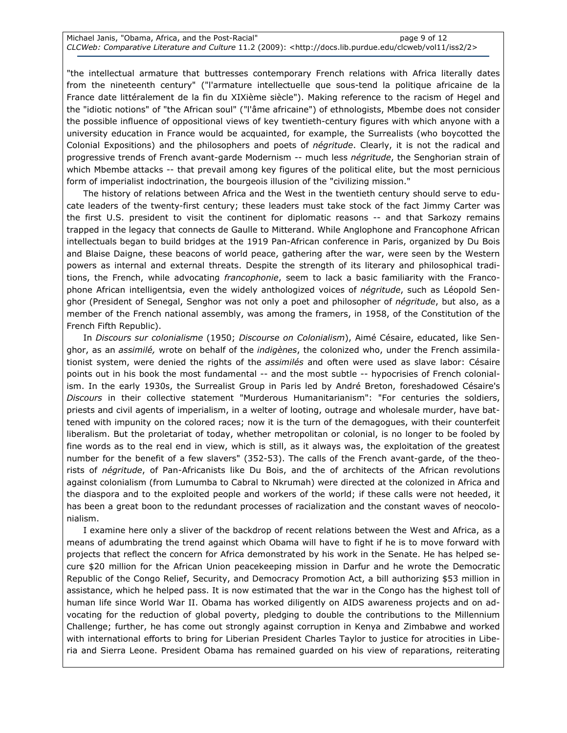| Michael Janis, "Obama, Africa, and the Post-Racial" | page 9 of 12                                                                                                                   |
|-----------------------------------------------------|--------------------------------------------------------------------------------------------------------------------------------|
|                                                     | CLCWeb: Comparative Literature and Culture 11.2 (2009): <http: 2="" clcweb="" docs.lib.purdue.edu="" iss2="" vol11=""></http:> |

"the intellectual armature that buttresses contemporary French relations with Africa literally dates from the nineteenth century" ("l'armature intellectuelle que sous-tend la politique africaine de la France date littéralement de la fin du XIXième siècle"). Making reference to the racism of Hegel and the "idiotic notions" of "the African soul" ("l'âme africaine") of ethnologists, Mbembe does not consider the possible influence of oppositional views of key twentieth-century figures with which anyone with a university education in France would be acquainted, for example, the Surrealists (who boycotted the Colonial Expositions) and the philosophers and poets of *négritude*. Clearly, it is not the radical and progressive trends of French avant-garde Modernism -- much less négritude, the Senghorian strain of which Mbembe attacks -- that prevail among key figures of the political elite, but the most pernicious form of imperialist indoctrination, the bourgeois illusion of the "civilizing mission."

The history of relations between Africa and the West in the twentieth century should serve to educate leaders of the twenty-first century; these leaders must take stock of the fact Jimmy Carter was the first U.S. president to visit the continent for diplomatic reasons -- and that Sarkozy remains trapped in the legacy that connects de Gaulle to Mitterand. While Anglophone and Francophone African intellectuals began to build bridges at the 1919 Pan-African conference in Paris, organized by Du Bois and Blaise Daigne, these beacons of world peace, gathering after the war, were seen by the Western powers as internal and external threats. Despite the strength of its literary and philosophical traditions, the French, while advocating francophonie, seem to lack a basic familiarity with the Francophone African intelligentsia, even the widely anthologized voices of négritude, such as Léopold Senghor (President of Senegal, Senghor was not only a poet and philosopher of négritude, but also, as a member of the French national assembly, was among the framers, in 1958, of the Constitution of the French Fifth Republic).

In Discours sur colonialisme (1950; Discourse on Colonialism), Aimé Césaire, educated, like Senghor, as an assimilé, wrote on behalf of the indigènes, the colonized who, under the French assimilationist system, were denied the rights of the assimilés and often were used as slave labor: Césaire points out in his book the most fundamental -- and the most subtle -- hypocrisies of French colonialism. In the early 1930s, the Surrealist Group in Paris led by André Breton, foreshadowed Césaire's Discours in their collective statement "Murderous Humanitarianism": "For centuries the soldiers, priests and civil agents of imperialism, in a welter of looting, outrage and wholesale murder, have battened with impunity on the colored races; now it is the turn of the demagogues, with their counterfeit liberalism. But the proletariat of today, whether metropolitan or colonial, is no longer to be fooled by fine words as to the real end in view, which is still, as it always was, the exploitation of the greatest number for the benefit of a few slavers" (352-53). The calls of the French avant-garde, of the theorists of négritude, of Pan-Africanists like Du Bois, and the of architects of the African revolutions against colonialism (from Lumumba to Cabral to Nkrumah) were directed at the colonized in Africa and the diaspora and to the exploited people and workers of the world; if these calls were not heeded, it has been a great boon to the redundant processes of racialization and the constant waves of neocolonialism.

I examine here only a sliver of the backdrop of recent relations between the West and Africa, as a means of adumbrating the trend against which Obama will have to fight if he is to move forward with projects that reflect the concern for Africa demonstrated by his work in the Senate. He has helped secure \$20 million for the African Union peacekeeping mission in Darfur and he wrote the Democratic Republic of the Congo Relief, Security, and Democracy Promotion Act, a bill authorizing \$53 million in assistance, which he helped pass. It is now estimated that the war in the Congo has the highest toll of human life since World War II. Obama has worked diligently on AIDS awareness projects and on advocating for the reduction of global poverty, pledging to double the contributions to the Millennium Challenge; further, he has come out strongly against corruption in Kenya and Zimbabwe and worked with international efforts to bring for Liberian President Charles Taylor to justice for atrocities in Liberia and Sierra Leone. President Obama has remained guarded on his view of reparations, reiterating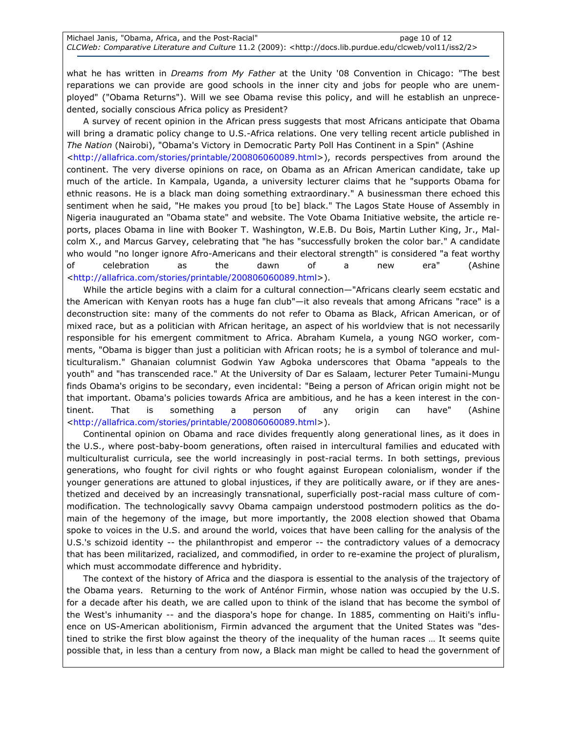what he has written in *Dreams from My Father* at the Unity '08 Convention in Chicago: "The best reparations we can provide are good schools in the inner city and jobs for people who are unemployed" ("Obama Returns"). Will we see Obama revise this policy, and will he establish an unprecedented, socially conscious Africa policy as President?

A survey of recent opinion in the African press suggests that most Africans anticipate that Obama will bring a dramatic policy change to U.S.-Africa relations. One very telling recent article published in The Nation (Nairobi), "Obama's Victory in Democratic Party Poll Has Continent in a Spin" (Ashine <http://allafrica.com/stories/printable/200806060089.html>), records perspectives from around the continent. The very diverse opinions on race, on Obama as an African American candidate, take up much of the article. In Kampala, Uganda, a university lecturer claims that he "supports Obama for ethnic reasons. He is a black man doing something extraordinary." A businessman there echoed this sentiment when he said, "He makes you proud [to be] black." The Lagos State House of Assembly in Nigeria inaugurated an "Obama state" and website. The Vote Obama Initiative website, the article reports, places Obama in line with Booker T. Washington, W.E.B. Du Bois, Martin Luther King, Jr., Malcolm X., and Marcus Garvey, celebrating that "he has "successfully broken the color bar." A candidate who would "no longer ignore Afro-Americans and their electoral strength" is considered "a feat worthy of celebration as the dawn of a new era" (Ashine <http://allafrica.com/stories/printable/200806060089.html>).

While the article begins with a claim for a cultural connection—"Africans clearly seem ecstatic and the American with Kenyan roots has a huge fan club"—it also reveals that among Africans "race" is a deconstruction site: many of the comments do not refer to Obama as Black, African American, or of mixed race, but as a politician with African heritage, an aspect of his worldview that is not necessarily responsible for his emergent commitment to Africa. Abraham Kumela, a young NGO worker, comments, "Obama is bigger than just a politician with African roots; he is a symbol of tolerance and multiculturalism." Ghanaian columnist Godwin Yaw Agboka underscores that Obama "appeals to the youth" and "has transcended race." At the University of Dar es Salaam, lecturer Peter Tumaini-Mungu finds Obama's origins to be secondary, even incidental: "Being a person of African origin might not be that important. Obama's policies towards Africa are ambitious, and he has a keen interest in the continent. That is something a person of any origin can have" (Ashine <http://allafrica.com/stories/printable/200806060089.html>).

Continental opinion on Obama and race divides frequently along generational lines, as it does in the U.S., where post-baby-boom generations, often raised in intercultural families and educated with multiculturalist curricula, see the world increasingly in post-racial terms. In both settings, previous generations, who fought for civil rights or who fought against European colonialism, wonder if the younger generations are attuned to global injustices, if they are politically aware, or if they are anesthetized and deceived by an increasingly transnational, superficially post-racial mass culture of commodification. The technologically savvy Obama campaign understood postmodern politics as the domain of the hegemony of the image, but more importantly, the 2008 election showed that Obama spoke to voices in the U.S. and around the world, voices that have been calling for the analysis of the U.S.'s schizoid identity -- the philanthropist and emperor -- the contradictory values of a democracy that has been militarized, racialized, and commodified, in order to re-examine the project of pluralism, which must accommodate difference and hybridity.

The context of the history of Africa and the diaspora is essential to the analysis of the trajectory of the Obama years. Returning to the work of Anténor Firmin, whose nation was occupied by the U.S. for a decade after his death, we are called upon to think of the island that has become the symbol of the West's inhumanity -- and the diaspora's hope for change. In 1885, commenting on Haiti's influence on US-American abolitionism, Firmin advanced the argument that the United States was "destined to strike the first blow against the theory of the inequality of the human races … It seems quite possible that, in less than a century from now, a Black man might be called to head the government of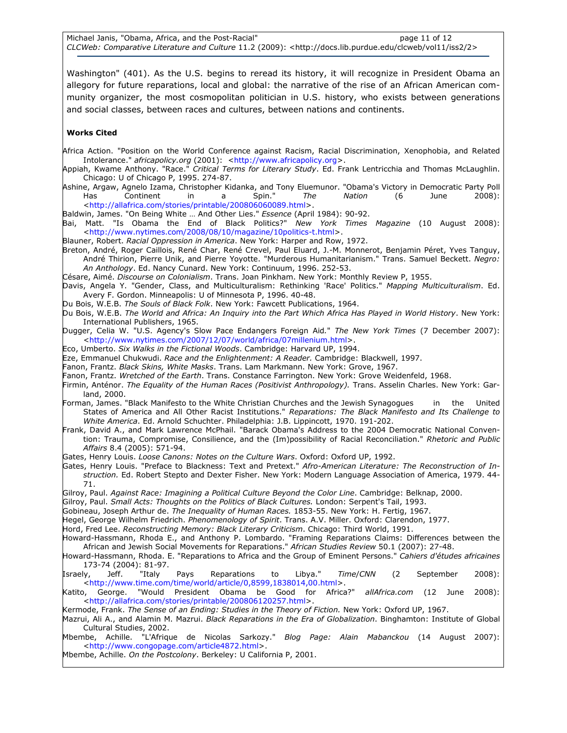Washington" (401). As the U.S. begins to reread its history, it will recognize in President Obama an allegory for future reparations, local and global: the narrative of the rise of an African American community organizer, the most cosmopolitan politician in U.S. history, who exists between generations and social classes, between races and cultures, between nations and continents.

#### Works Cited

- Africa Action. "Position on the World Conference against Racism, Racial Discrimination, Xenophobia, and Related Intolerance." africapolicy.org (2001): <http://www.africapolicy.org>.
- Appiah, Kwame Anthony. "Race." Critical Terms for Literary Study. Ed. Frank Lentricchia and Thomas McLaughlin. Chicago: U of Chicago P, 1995. 274-87.
- Ashine, Argaw, Agnelo Izama, Christopher Kidanka, and Tony Eluemunor. "Obama's Victory in Democratic Party Poll Has Continent in a Spin." The Nation (6 June 2008): <http://allafrica.com/stories/printable/200806060089.html>.
- Baldwin, James. "On Being White ... And Other Lies." Essence (April 1984): 90-92.
- Bai, Matt. "Is Obama the End of Black Politics?" New York Times Magazine (10 August 2008): <http://www.nytimes.com/2008/08/10/magazine/10politics-t.html>.
- Blauner, Robert. Racial Oppression in America. New York: Harper and Row, 1972.
- Breton, André, Roger Caillois, René Char, René Crevel, Paul Eluard, J.-M. Monnerot, Benjamin Péret, Yves Tanguy, André Thirion, Pierre Unik, and Pierre Yoyotte. "Murderous Humanitarianism." Trans. Samuel Beckett. Negro: An Anthology. Ed. Nancy Cunard. New York: Continuum, 1996. 252-53.
- Césare, Aimé. Discourse on Colonialism. Trans. Joan Pinkham. New York: Monthly Review P, 1955.
- Davis, Angela Y. "Gender, Class, and Multiculturalism: Rethinking 'Race' Politics." Mapping Multiculturalism. Ed. Avery F. Gordon. Minneapolis: U of Minnesota P, 1996. 40-48.
- Du Bois, W.E.B. The Souls of Black Folk. New York: Fawcett Publications, 1964.
- Du Bois, W.E.B. The World and Africa: An Inquiry into the Part Which Africa Has Played in World History. New York: International Publishers, 1965.
- Dugger, Celia W. "U.S. Agency's Slow Pace Endangers Foreign Aid." The New York Times (7 December 2007): <http://www.nytimes.com/2007/12/07/world/africa/07millenium.html>.
- Eco, Umberto. Six Walks in the Fictional Woods. Cambridge: Harvard UP, 1994.
- Eze, Emmanuel Chukwudi. Race and the Enlightenment: A Reader. Cambridge: Blackwell, 1997.
- Fanon, Frantz. Black Skins, White Masks. Trans. Lam Markmann. New York: Grove, 1967.
- Fanon, Frantz. Wretched of the Earth. Trans. Constance Farrington. New York: Grove Weidenfeld, 1968.
- Firmin, Anténor. *The Equality of the Human Races (Positivist Anthropology).* Trans. Asselin Charles. New York: Garland, 2000.
- Forman, James. "Black Manifesto to the White Christian Churches and the Jewish Synagogues in the United States of America and All Other Racist Institutions." Reparations: The Black Manifesto and Its Challenge to White America. Ed. Arnold Schuchter. Philadelphia: J.B. Lippincott, 1970. 191-202.
- Frank, David A., and Mark Lawrence McPhail. "Barack Obama's Address to the 2004 Democratic National Convention: Trauma, Compromise, Consilience, and the (Im)possibility of Racial Reconciliation." Rhetoric and Public Affairs 8.4 (2005): 571-94.
- Gates, Henry Louis. Loose Canons: Notes on the Culture Wars. Oxford: Oxford UP, 1992.
- Gates, Henry Louis. "Preface to Blackness: Text and Pretext." Afro-American Literature: The Reconstruction of Instruction. Ed. Robert Stepto and Dexter Fisher. New York: Modern Language Association of America, 1979. 44- 71.
- Gilroy, Paul. Against Race: Imagining a Political Culture Beyond the Color Line. Cambridge: Belknap, 2000.
- Gilroy, Paul. Small Acts: Thoughts on the Politics of Black Cultures. London: Serpent's Tail, 1993.
- Gobineau, Joseph Arthur de. The Inequality of Human Races. 1853-55. New York: H. Fertig, 1967.
- Hegel, George Wilhelm Friedrich. Phenomenology of Spirit. Trans. A.V. Miller. Oxford: Clarendon, 1977.
- Hord, Fred Lee. Reconstructing Memory: Black Literary Criticism. Chicago: Third World, 1991.

Howard-Hassmann, Rhoda E., and Anthony P. Lombardo. "Framing Reparations Claims: Differences between the African and Jewish Social Movements for Reparations." African Studies Review 50.1 (2007): 27-48.

- Howard-Hassmann, Rhoda. E. "Reparations to Africa and the Group of Eminent Persons." Cahiers d'études africaines 173-74 (2004): 81-97.
- Israely, Jeff. "Italy Pays Reparations to Libya." Time/CNN (2 September 2008): <http://www.time.com/time/world/article/0,8599,1838014,00.html>.
- Katito, George. "Would President Obama be Good for Africa?" allAfrica.com (12 June 2008): <http://allafrica.com/stories/printable/200806120257.html>.
- Kermode, Frank. The Sense of an Ending: Studies in the Theory of Fiction. New York: Oxford UP, 1967.
- Mazrui, Ali A., and Alamin M. Mazrui. *Black Reparations in the Era of Globalization*. Binghamton: Institute of Global Cultural Studies, 2002.
- Mbembe, Achille. "L'Afrique de Nicolas Sarkozy." *Blog Page: Alain Mabanckou* (14 August 2007): <http://www.congopage.com/article4872.html>.
- Mbembe, Achille. On the Postcolony. Berkeley: U California P, 2001.